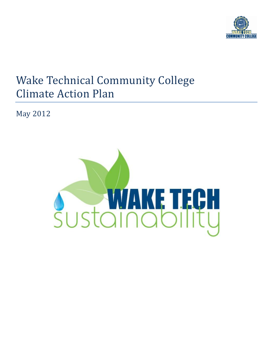

# Wake Technical Community College Climate Action Plan

May 2012

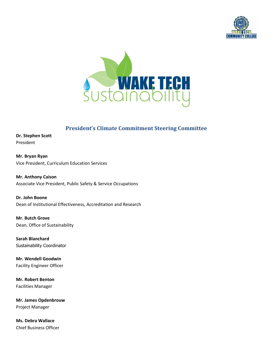



## **President's Climate Commitment Steering Committee**

**Dr. Stephen Scott**  President

**Mr. Bryan Ryan** Vice President, Curriculum Education Services

**Mr. Anthony Caison** Associate Vice President, Public Safety & Service Occupations

**Dr. John Boone** Dean of Institutional Effectiveness, Accreditation and Research

**Mr. Butch Grove** Dean, Office of Sustainability

**Sarah Blanchard** Sustainability Coordinator

**Mr. Wendell Goodwin** Facility Engineer Officer

**Mr. Robert Benton** Facilities Manager

**Mr. James Opdenbrouw** Project Manager

**Ms. Debra Wallace** Chief Business Officer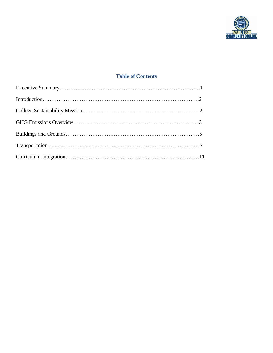

#### **Table of Contents**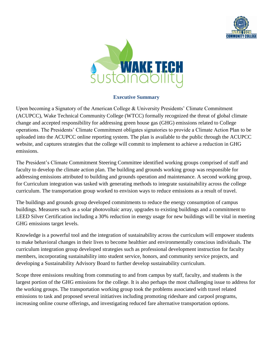



#### **Executive Summary**

Upon becoming a Signatory of the American College & University Presidents' Climate Commitment (ACUPCC), Wake Technical Community College (WTCC) formally recognized the threat of global climate change and accepted responsibility for addressing green house gas (GHG) emissions related to College operations. The Presidents' Climate Commitment obligates signatories to provide a Climate Action Plan to be uploaded into the ACUPCC online reporting system. The plan is available to the public through the ACUPCC website, and captures strategies that the college will commit to implement to achieve a reduction in GHG emissions.

The President's Climate Commitment Steering Committee identified working groups comprised of staff and faculty to develop the climate action plan. The building and grounds working group was responsible for addressing emissions attributed to building and grounds operation and maintenance. A second working group, for Curriculum integration was tasked with generating methods to integrate sustainability across the college curriculum. The transportation group worked to envision ways to reduce emissions as a result of travel.

The buildings and grounds group developed commitments to reduce the energy consumption of campus buildings. Measures such as a solar photovoltaic array, upgrades to existing buildings and a commitment to LEED Silver Certification including a 30% reduction in energy usage for new buildings will be vital in meeting GHG emissions target levels.

Knowledge is a powerful tool and the integration of sustainability across the curriculum will empower students to make behavioral changes in their lives to become healthier and environmentally conscious individuals. The curriculum integration group developed strategies such as professional development instruction for faculty members, incorporating sustainability into student service, honors, and community service projects, and developing a Sustainability Advisory Board to further develop sustainability curriculum.

Scope three emissions resulting from commuting to and from campus by staff, faculty, and students is the largest portion of the GHG emissions for the college. It is also perhaps the most challenging issue to address for the working groups. The transportation working group took the problems associated with travel related emissions to task and proposed several initiatives including promoting rideshare and carpool programs, increasing online course offerings, and investigating reduced fare alternative transportation options.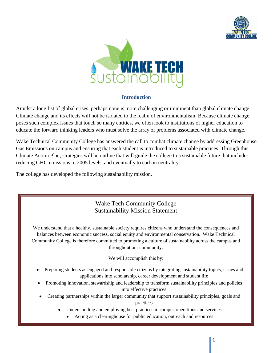



#### **Introduction**

Amidst a long list of global crises, perhaps none is more challenging or imminent than global climate change. Climate change and its effects will not be isolated to the realm of environmentalism. Because climate change poses such complex issues that touch so many entities, we often look to institutions of higher education to educate the forward thinking leaders who must solve the array of problems associated with climate change.

Wake Technical Community College has answered the call to combat climate change by addressing Greenhouse Gas Emissions on campus and ensuring that each student is introduced to sustainable practices. Through this Climate Action Plan, strategies will be outline that will guide the college to a sustainable future that includes reducing GHG emissions to 2005 levels, and eventually to carbon neutrality.

The college has developed the following sustainability mission.

### Wake Tech Community College Sustainability Mission Statement

We understand that a healthy, sustainable society requires citizens who understand the consequences and balances between economic success, social equity and environmental conservation. Wake Technical Community College is therefore committed to promoting a culture of sustainability across the campus and throughout our community.

We will accomplish this by:

- Preparing students as engaged and responsible citizens by integrating sustainability topics, issues and applications into scholarship, career development and student life
- Promoting innovation, stewardship and leadership to transform sustainability principles and policies into effective practices
- Creating partnerships within the larger community that support sustainability principles, goals and practices
	- Understanding and employing best practices in campus operations and services
		- Acting as a clearinghouse for public education, outreach and resources

*November 10, 2011 -- DRAFT*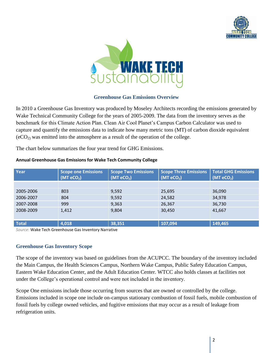



#### **Greenhouse Gas Emissions Overview**

In 2010 a Greenhouse Gas Inventory was produced by Moseley Architects recording the emissions generated by Wake Technical Community College for the years of 2005-2009. The data from the inventory serves as the benchmark for this Climate Action Plan. Clean Air Cool Planet's Campus Carbon Calculator was used to capture and quantify the emissions data to indicate how many metric tons (MT) of carbon dioxide equivalent  $(eCO<sub>2</sub>)$  was emitted into the atmosphere as a result of the operation of the college.

The chart below summarizes the four year trend for GHG Emissions.

| Year         | <b>Scope one Emissions</b><br>(MT <sub>e</sub> CO <sub>2</sub> ) | <b>Scope Two Emissions</b><br>(MT <sub>ECO<sub>2</sub>)</sub> | <b>Scope Three Emissions</b><br>(MT <sub>e</sub> CO <sub>2</sub> ) | <b>Total GHG Emissions</b><br>(MT <sub>e</sub> CO <sub>2</sub> ) |
|--------------|------------------------------------------------------------------|---------------------------------------------------------------|--------------------------------------------------------------------|------------------------------------------------------------------|
|              |                                                                  |                                                               |                                                                    |                                                                  |
| 2005-2006    | 803                                                              | 9,592                                                         | 25,695                                                             | 36,090                                                           |
| 2006-2007    | 804                                                              | 9,592                                                         | 24,582                                                             | 34,978                                                           |
| 2007-2008    | 999                                                              | 9,363                                                         | 26,367                                                             | 36,730                                                           |
| 2008-2009    | 1,412                                                            | 9,804                                                         | 30,450                                                             | 41,667                                                           |
| <b>Total</b> | 4,018                                                            | 38,351                                                        | 107,094                                                            | 149,465                                                          |

#### **Annual Greenhouse Gas Emissions for Wake Tech Community College**

*Source:* Wake Tech Greenhouse Gas Inventory Narrative

#### **Greenhouse Gas Inventory Scope**

The scope of the inventory was based on guidelines from the ACUPCC. The boundary of the inventory included the Main Campus, the Health Sciences Campus, Northern Wake Campus, Public Safety Education Campus, Eastern Wake Education Center, and the Adult Education Center. WTCC also holds classes at facilities not under the College's operational control and were not included in the inventory.

Scope One emissions include those occurring from sources that are owned or controlled by the college. Emissions included in scope one include on-campus stationary combustion of fossil fuels, mobile combustion of fossil fuels by college owned vehicles, and fugitive emissions that may occur as a result of leakage from refrigeration units.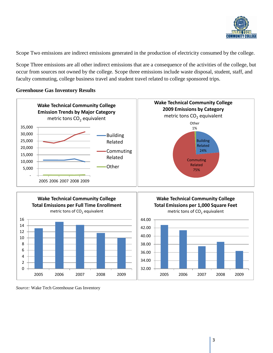

Scope Two emissions are indirect emissions generated in the production of electricity consumed by the college.

Scope Three emissions are all other indirect emissions that are a consequence of the activities of the college, but occur from sources not owned by the college. Scope three emissions include waste disposal, student, staff, and faculty commuting, college business travel and student travel related to college sponsored trips.

#### **Greenhouse Gas Inventory Results**





**Wake Technical Community College Total Emissions per 1,000 Square Feet** metric tons of  $CO<sub>2</sub>$  equivalent



*Source:* Wake Tech Greenhouse Gas Inventory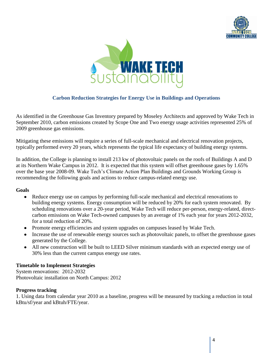



#### **Carbon Reduction Strategies for Energy Use in Buildings and Operations**

As identified in the Greenhouse Gas Inventory prepared by Moseley Architects and approved by Wake Tech in September 2010, carbon emissions created by Scope One and Two energy usage activities represented 25% of 2009 greenhouse gas emissions.

Mitigating these emissions will require a series of full-scale mechanical and electrical renovation projects, typically performed every 20 years, which represents the typical life expectancy of building energy systems.

In addition, the College is planning to install 213 kw of photovoltaic panels on the roofs of Buildings A and D at its Northern Wake Campus in 2012. It is expected that this system will offset greenhouse gases by 1.65% over the base year 2008-09. Wake Tech's Climate Action Plan Buildings and Grounds Working Group is recommending the following goals and actions to reduce campus-related energy use.

#### **Goals**

- Reduce energy use on campus by performing full-scale mechanical and electrical renovations to building energy systems. Energy consumption will be reduced by 20% for each system renovated. By scheduling renovations over a 20-year period, Wake Tech will reduce per-person, energy-related, directcarbon emissions on Wake Tech-owned campuses by an average of 1% each year for years 2012-2032, for a total reduction of 20%.
- Promote energy efficiencies and system upgrades on campuses leased by Wake Tech.
- Increase the use of renewable energy sources such as photovoltaic panels, to offset the greenhouse gases generated by the College.
- All new construction will be built to LEED Silver minimum standards with an expected energy use of 30% less than the current campus energy use rates.

#### **Timetable to Implement Strategies**

System renovations: 2012-2032 Photovoltaic installation on North Campus: 2012

#### **Progress tracking**

1. Using data from calendar year 2010 as a baseline, progress will be measured by tracking a reduction in total kBtu/sf/year and kBtuh/FTE/year.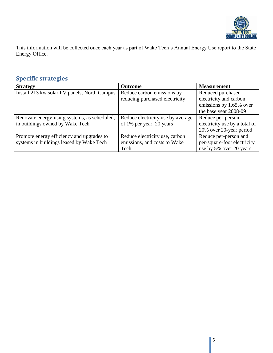

This information will be collected once each year as part of Wake Tech's Annual Energy Use report to the State Energy Office.

# **Specific strategies**

| <b>Strategy</b>                              | Outcome                           | <b>Measurement</b>            |
|----------------------------------------------|-----------------------------------|-------------------------------|
| Install 213 kw solar PV panels, North Campus | Reduce carbon emissions by        | Reduced purchased             |
|                                              | reducing purchased electricity    | electricity and carbon        |
|                                              |                                   | emissions by 1.65% over       |
|                                              |                                   | the base year 2008-09         |
| Renovate energy-using systems, as scheduled, | Reduce electricity use by average | Reduce per-person             |
| in buildings owned by Wake Tech              | of 1% per year, 20 years          | electricity use by a total of |
|                                              |                                   | 20% over 20-year period       |
| Promote energy efficiency and upgrades to    | Reduce electricity use, carbon    | Reduce per-person and         |
| systems in buildings leased by Wake Tech     | emissions, and costs to Wake      | per-square-foot electricity   |
|                                              | Tech                              | use by 5% over 20 years       |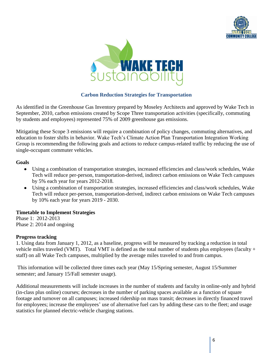



#### **Carbon Reduction Strategies for Transportation**

As identified in the Greenhouse Gas Inventory prepared by Moseley Architects and approved by Wake Tech in September, 2010, carbon emissions created by Scope Three transportation activities (specifically, commuting by students and employees) represented 75% of 2009 greenhouse gas emissions.

Mitigating these Scope 3 emissions will require a combination of policy changes, commuting alternatives, and education to foster shifts in behavior. Wake Tech's Climate Action Plan Transportation Integration Working Group is recommending the following goals and actions to reduce campus-related traffic by reducing the use of single-occupant commuter vehicles.

#### **Goals**

- Using a combination of transportation strategies, increased efficiencies and class/work schedules, Wake Tech will reduce per-person, transportation-derived, indirect carbon emissions on Wake Tech campuses by 5% each year for years 2012-2018.
- Using a combination of transportation strategies, increased efficiencies and class/work schedules, Wake Tech will reduce per-person, transportation-derived, indirect carbon emissions on Wake Tech campuses by 10% each year for years 2019 - 2030.

#### **Timetable to Implement Strategies**

Phase 1: 2012-2013 Phase 2: 2014 and ongoing

#### **Progress tracking**

1. Using data from January 1, 2012, as a baseline, progress will be measured by tracking a reduction in total vehicle miles traveled (VMT). Total VMT is defined as the total number of students plus employees (faculty + staff) on all Wake Tech campuses, multiplied by the average miles traveled to and from campus.

This information will be collected three times each year (May 15/Spring semester, August 15/Summer semester; and January 15/Fall semester usage).

Additional measurements will include increases in the number of students and faculty in online-only and hybrid (in-class plus online) courses; decreases in the number of parking spaces available as a function of square footage and turnover on all campuses; increased ridership on mass transit; decreases in directly financed travel for employees; increase the employees' use of alternative fuel cars by adding these cars to the fleet; and usage statistics for planned electric-vehicle charging stations.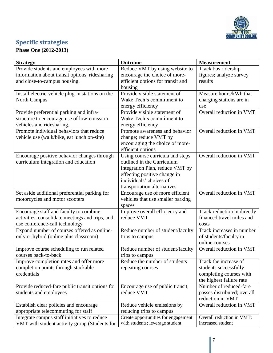

# **Specific strategies**

**Phase One (2012-2013)**

| Track bus ridership<br>Provide students and employees with more<br>Reduce VMT by using website to<br>information about transit options, ridesharing<br>encourage the choice of more-<br>figures; analyze survey<br>and close-to-campus housing.<br>efficient options for transit and<br>results<br>housing<br>Provide visible statement of<br>Measure hours/kWh that<br>Install electric-vehicle plug-in stations on the<br><b>North Campus</b><br>Wake Tech's commitment to<br>charging stations are in<br>energy efficiency<br>use<br>Provide preferential parking and infra-<br>Provide visible statement of<br>Overall reduction in VMT<br>Wake Tech's commitment to<br>structure to encourage use of low-emission<br>vehicles and ridesharing.<br>energy efficiency<br>Promote individual behaviors that reduce<br>Overall reduction in VMT<br>Promote awareness and behavior<br>vehicle use (walk/bike, eat lunch on-site)<br>change; reduce VMT by<br>encouraging the choice of more-<br>efficient options<br>Overall reduction in VMT<br>Using course curricula and steps<br>Encourage positive behavior changes through<br>outlined in the Curriculum<br>curriculum integration and education<br>Integration Plan, reduce VMT by<br>effecting positive change in<br>individuals' choices of<br>transportation alternatives<br>Overall reduction in VMT<br>Set aside additional preferential parking for<br>Encourage use of more efficient<br>motorcycles and motor scooters<br>vehicles that use smaller parking<br>spaces<br>Improve overall efficiency and<br>Track reduction in directly<br>Encourage staff and faculty to combine<br>financed travel miles and<br>activities, consolidate meetings and trips, and<br>reduce VMT<br>use conference-call technology<br>costs<br>Expand number of courses offered as online-<br>Track increases in number<br>Reduce number of student/faculty<br>only or hybrid (online plus classroom)<br>of students/faculty in<br>trips to campus<br>online courses<br>Overall reduction in VMT<br>Improve course scheduling to run related<br>Reduce number of student/faculty<br>courses back-to-back<br>trips to campus<br>Reduce the number of students<br>Improve completion rates and offer more<br>Track the increase of<br>completion points through stackable<br>students successfully<br>repeating courses<br>credentials<br>completing courses with<br>the highest failure rate<br>Number of reduced-fare<br>Provide reduced-fare public transit options for<br>Encourage use of public transit,<br>reduce VMT<br>students and employees<br>passes distributed; overall<br>reduction in VMT<br>Overall reduction in VMT<br>Establish clear policies and encourage<br>Reduce vehicle emissions by<br>appropriate telecommuting for staff<br>reducing trips to campus<br>Create opportunities for engagement<br>Integrate campus staff initiatives to reduce<br>Overall reduction in VMT; | <b>Strategy</b> | Outcome | <b>Measurement</b> |
|--------------------------------------------------------------------------------------------------------------------------------------------------------------------------------------------------------------------------------------------------------------------------------------------------------------------------------------------------------------------------------------------------------------------------------------------------------------------------------------------------------------------------------------------------------------------------------------------------------------------------------------------------------------------------------------------------------------------------------------------------------------------------------------------------------------------------------------------------------------------------------------------------------------------------------------------------------------------------------------------------------------------------------------------------------------------------------------------------------------------------------------------------------------------------------------------------------------------------------------------------------------------------------------------------------------------------------------------------------------------------------------------------------------------------------------------------------------------------------------------------------------------------------------------------------------------------------------------------------------------------------------------------------------------------------------------------------------------------------------------------------------------------------------------------------------------------------------------------------------------------------------------------------------------------------------------------------------------------------------------------------------------------------------------------------------------------------------------------------------------------------------------------------------------------------------------------------------------------------------------------------------------------------------------------------------------------------------------------------------------------------------------------------------------------------------------------------------------------------------------------------------------------------------------------------------------------------------------------------------------------------------------------------------------------------------------------------------------------------------------------------------------------------------------------------------------------------------------------------------------------------------------------------------------------------------------------|-----------------|---------|--------------------|
|                                                                                                                                                                                                                                                                                                                                                                                                                                                                                                                                                                                                                                                                                                                                                                                                                                                                                                                                                                                                                                                                                                                                                                                                                                                                                                                                                                                                                                                                                                                                                                                                                                                                                                                                                                                                                                                                                                                                                                                                                                                                                                                                                                                                                                                                                                                                                                                                                                                                                                                                                                                                                                                                                                                                                                                                                                                                                                                                                  |                 |         |                    |
|                                                                                                                                                                                                                                                                                                                                                                                                                                                                                                                                                                                                                                                                                                                                                                                                                                                                                                                                                                                                                                                                                                                                                                                                                                                                                                                                                                                                                                                                                                                                                                                                                                                                                                                                                                                                                                                                                                                                                                                                                                                                                                                                                                                                                                                                                                                                                                                                                                                                                                                                                                                                                                                                                                                                                                                                                                                                                                                                                  |                 |         |                    |
|                                                                                                                                                                                                                                                                                                                                                                                                                                                                                                                                                                                                                                                                                                                                                                                                                                                                                                                                                                                                                                                                                                                                                                                                                                                                                                                                                                                                                                                                                                                                                                                                                                                                                                                                                                                                                                                                                                                                                                                                                                                                                                                                                                                                                                                                                                                                                                                                                                                                                                                                                                                                                                                                                                                                                                                                                                                                                                                                                  |                 |         |                    |
|                                                                                                                                                                                                                                                                                                                                                                                                                                                                                                                                                                                                                                                                                                                                                                                                                                                                                                                                                                                                                                                                                                                                                                                                                                                                                                                                                                                                                                                                                                                                                                                                                                                                                                                                                                                                                                                                                                                                                                                                                                                                                                                                                                                                                                                                                                                                                                                                                                                                                                                                                                                                                                                                                                                                                                                                                                                                                                                                                  |                 |         |                    |
|                                                                                                                                                                                                                                                                                                                                                                                                                                                                                                                                                                                                                                                                                                                                                                                                                                                                                                                                                                                                                                                                                                                                                                                                                                                                                                                                                                                                                                                                                                                                                                                                                                                                                                                                                                                                                                                                                                                                                                                                                                                                                                                                                                                                                                                                                                                                                                                                                                                                                                                                                                                                                                                                                                                                                                                                                                                                                                                                                  |                 |         |                    |
|                                                                                                                                                                                                                                                                                                                                                                                                                                                                                                                                                                                                                                                                                                                                                                                                                                                                                                                                                                                                                                                                                                                                                                                                                                                                                                                                                                                                                                                                                                                                                                                                                                                                                                                                                                                                                                                                                                                                                                                                                                                                                                                                                                                                                                                                                                                                                                                                                                                                                                                                                                                                                                                                                                                                                                                                                                                                                                                                                  |                 |         |                    |
|                                                                                                                                                                                                                                                                                                                                                                                                                                                                                                                                                                                                                                                                                                                                                                                                                                                                                                                                                                                                                                                                                                                                                                                                                                                                                                                                                                                                                                                                                                                                                                                                                                                                                                                                                                                                                                                                                                                                                                                                                                                                                                                                                                                                                                                                                                                                                                                                                                                                                                                                                                                                                                                                                                                                                                                                                                                                                                                                                  |                 |         |                    |
|                                                                                                                                                                                                                                                                                                                                                                                                                                                                                                                                                                                                                                                                                                                                                                                                                                                                                                                                                                                                                                                                                                                                                                                                                                                                                                                                                                                                                                                                                                                                                                                                                                                                                                                                                                                                                                                                                                                                                                                                                                                                                                                                                                                                                                                                                                                                                                                                                                                                                                                                                                                                                                                                                                                                                                                                                                                                                                                                                  |                 |         |                    |
|                                                                                                                                                                                                                                                                                                                                                                                                                                                                                                                                                                                                                                                                                                                                                                                                                                                                                                                                                                                                                                                                                                                                                                                                                                                                                                                                                                                                                                                                                                                                                                                                                                                                                                                                                                                                                                                                                                                                                                                                                                                                                                                                                                                                                                                                                                                                                                                                                                                                                                                                                                                                                                                                                                                                                                                                                                                                                                                                                  |                 |         |                    |
|                                                                                                                                                                                                                                                                                                                                                                                                                                                                                                                                                                                                                                                                                                                                                                                                                                                                                                                                                                                                                                                                                                                                                                                                                                                                                                                                                                                                                                                                                                                                                                                                                                                                                                                                                                                                                                                                                                                                                                                                                                                                                                                                                                                                                                                                                                                                                                                                                                                                                                                                                                                                                                                                                                                                                                                                                                                                                                                                                  |                 |         |                    |
|                                                                                                                                                                                                                                                                                                                                                                                                                                                                                                                                                                                                                                                                                                                                                                                                                                                                                                                                                                                                                                                                                                                                                                                                                                                                                                                                                                                                                                                                                                                                                                                                                                                                                                                                                                                                                                                                                                                                                                                                                                                                                                                                                                                                                                                                                                                                                                                                                                                                                                                                                                                                                                                                                                                                                                                                                                                                                                                                                  |                 |         |                    |
|                                                                                                                                                                                                                                                                                                                                                                                                                                                                                                                                                                                                                                                                                                                                                                                                                                                                                                                                                                                                                                                                                                                                                                                                                                                                                                                                                                                                                                                                                                                                                                                                                                                                                                                                                                                                                                                                                                                                                                                                                                                                                                                                                                                                                                                                                                                                                                                                                                                                                                                                                                                                                                                                                                                                                                                                                                                                                                                                                  |                 |         |                    |
|                                                                                                                                                                                                                                                                                                                                                                                                                                                                                                                                                                                                                                                                                                                                                                                                                                                                                                                                                                                                                                                                                                                                                                                                                                                                                                                                                                                                                                                                                                                                                                                                                                                                                                                                                                                                                                                                                                                                                                                                                                                                                                                                                                                                                                                                                                                                                                                                                                                                                                                                                                                                                                                                                                                                                                                                                                                                                                                                                  |                 |         |                    |
|                                                                                                                                                                                                                                                                                                                                                                                                                                                                                                                                                                                                                                                                                                                                                                                                                                                                                                                                                                                                                                                                                                                                                                                                                                                                                                                                                                                                                                                                                                                                                                                                                                                                                                                                                                                                                                                                                                                                                                                                                                                                                                                                                                                                                                                                                                                                                                                                                                                                                                                                                                                                                                                                                                                                                                                                                                                                                                                                                  |                 |         |                    |
|                                                                                                                                                                                                                                                                                                                                                                                                                                                                                                                                                                                                                                                                                                                                                                                                                                                                                                                                                                                                                                                                                                                                                                                                                                                                                                                                                                                                                                                                                                                                                                                                                                                                                                                                                                                                                                                                                                                                                                                                                                                                                                                                                                                                                                                                                                                                                                                                                                                                                                                                                                                                                                                                                                                                                                                                                                                                                                                                                  |                 |         |                    |
|                                                                                                                                                                                                                                                                                                                                                                                                                                                                                                                                                                                                                                                                                                                                                                                                                                                                                                                                                                                                                                                                                                                                                                                                                                                                                                                                                                                                                                                                                                                                                                                                                                                                                                                                                                                                                                                                                                                                                                                                                                                                                                                                                                                                                                                                                                                                                                                                                                                                                                                                                                                                                                                                                                                                                                                                                                                                                                                                                  |                 |         |                    |
|                                                                                                                                                                                                                                                                                                                                                                                                                                                                                                                                                                                                                                                                                                                                                                                                                                                                                                                                                                                                                                                                                                                                                                                                                                                                                                                                                                                                                                                                                                                                                                                                                                                                                                                                                                                                                                                                                                                                                                                                                                                                                                                                                                                                                                                                                                                                                                                                                                                                                                                                                                                                                                                                                                                                                                                                                                                                                                                                                  |                 |         |                    |
|                                                                                                                                                                                                                                                                                                                                                                                                                                                                                                                                                                                                                                                                                                                                                                                                                                                                                                                                                                                                                                                                                                                                                                                                                                                                                                                                                                                                                                                                                                                                                                                                                                                                                                                                                                                                                                                                                                                                                                                                                                                                                                                                                                                                                                                                                                                                                                                                                                                                                                                                                                                                                                                                                                                                                                                                                                                                                                                                                  |                 |         |                    |
|                                                                                                                                                                                                                                                                                                                                                                                                                                                                                                                                                                                                                                                                                                                                                                                                                                                                                                                                                                                                                                                                                                                                                                                                                                                                                                                                                                                                                                                                                                                                                                                                                                                                                                                                                                                                                                                                                                                                                                                                                                                                                                                                                                                                                                                                                                                                                                                                                                                                                                                                                                                                                                                                                                                                                                                                                                                                                                                                                  |                 |         |                    |
|                                                                                                                                                                                                                                                                                                                                                                                                                                                                                                                                                                                                                                                                                                                                                                                                                                                                                                                                                                                                                                                                                                                                                                                                                                                                                                                                                                                                                                                                                                                                                                                                                                                                                                                                                                                                                                                                                                                                                                                                                                                                                                                                                                                                                                                                                                                                                                                                                                                                                                                                                                                                                                                                                                                                                                                                                                                                                                                                                  |                 |         |                    |
|                                                                                                                                                                                                                                                                                                                                                                                                                                                                                                                                                                                                                                                                                                                                                                                                                                                                                                                                                                                                                                                                                                                                                                                                                                                                                                                                                                                                                                                                                                                                                                                                                                                                                                                                                                                                                                                                                                                                                                                                                                                                                                                                                                                                                                                                                                                                                                                                                                                                                                                                                                                                                                                                                                                                                                                                                                                                                                                                                  |                 |         |                    |
|                                                                                                                                                                                                                                                                                                                                                                                                                                                                                                                                                                                                                                                                                                                                                                                                                                                                                                                                                                                                                                                                                                                                                                                                                                                                                                                                                                                                                                                                                                                                                                                                                                                                                                                                                                                                                                                                                                                                                                                                                                                                                                                                                                                                                                                                                                                                                                                                                                                                                                                                                                                                                                                                                                                                                                                                                                                                                                                                                  |                 |         |                    |
|                                                                                                                                                                                                                                                                                                                                                                                                                                                                                                                                                                                                                                                                                                                                                                                                                                                                                                                                                                                                                                                                                                                                                                                                                                                                                                                                                                                                                                                                                                                                                                                                                                                                                                                                                                                                                                                                                                                                                                                                                                                                                                                                                                                                                                                                                                                                                                                                                                                                                                                                                                                                                                                                                                                                                                                                                                                                                                                                                  |                 |         |                    |
|                                                                                                                                                                                                                                                                                                                                                                                                                                                                                                                                                                                                                                                                                                                                                                                                                                                                                                                                                                                                                                                                                                                                                                                                                                                                                                                                                                                                                                                                                                                                                                                                                                                                                                                                                                                                                                                                                                                                                                                                                                                                                                                                                                                                                                                                                                                                                                                                                                                                                                                                                                                                                                                                                                                                                                                                                                                                                                                                                  |                 |         |                    |
|                                                                                                                                                                                                                                                                                                                                                                                                                                                                                                                                                                                                                                                                                                                                                                                                                                                                                                                                                                                                                                                                                                                                                                                                                                                                                                                                                                                                                                                                                                                                                                                                                                                                                                                                                                                                                                                                                                                                                                                                                                                                                                                                                                                                                                                                                                                                                                                                                                                                                                                                                                                                                                                                                                                                                                                                                                                                                                                                                  |                 |         |                    |
|                                                                                                                                                                                                                                                                                                                                                                                                                                                                                                                                                                                                                                                                                                                                                                                                                                                                                                                                                                                                                                                                                                                                                                                                                                                                                                                                                                                                                                                                                                                                                                                                                                                                                                                                                                                                                                                                                                                                                                                                                                                                                                                                                                                                                                                                                                                                                                                                                                                                                                                                                                                                                                                                                                                                                                                                                                                                                                                                                  |                 |         |                    |
|                                                                                                                                                                                                                                                                                                                                                                                                                                                                                                                                                                                                                                                                                                                                                                                                                                                                                                                                                                                                                                                                                                                                                                                                                                                                                                                                                                                                                                                                                                                                                                                                                                                                                                                                                                                                                                                                                                                                                                                                                                                                                                                                                                                                                                                                                                                                                                                                                                                                                                                                                                                                                                                                                                                                                                                                                                                                                                                                                  |                 |         |                    |
|                                                                                                                                                                                                                                                                                                                                                                                                                                                                                                                                                                                                                                                                                                                                                                                                                                                                                                                                                                                                                                                                                                                                                                                                                                                                                                                                                                                                                                                                                                                                                                                                                                                                                                                                                                                                                                                                                                                                                                                                                                                                                                                                                                                                                                                                                                                                                                                                                                                                                                                                                                                                                                                                                                                                                                                                                                                                                                                                                  |                 |         |                    |
|                                                                                                                                                                                                                                                                                                                                                                                                                                                                                                                                                                                                                                                                                                                                                                                                                                                                                                                                                                                                                                                                                                                                                                                                                                                                                                                                                                                                                                                                                                                                                                                                                                                                                                                                                                                                                                                                                                                                                                                                                                                                                                                                                                                                                                                                                                                                                                                                                                                                                                                                                                                                                                                                                                                                                                                                                                                                                                                                                  |                 |         |                    |
|                                                                                                                                                                                                                                                                                                                                                                                                                                                                                                                                                                                                                                                                                                                                                                                                                                                                                                                                                                                                                                                                                                                                                                                                                                                                                                                                                                                                                                                                                                                                                                                                                                                                                                                                                                                                                                                                                                                                                                                                                                                                                                                                                                                                                                                                                                                                                                                                                                                                                                                                                                                                                                                                                                                                                                                                                                                                                                                                                  |                 |         |                    |
|                                                                                                                                                                                                                                                                                                                                                                                                                                                                                                                                                                                                                                                                                                                                                                                                                                                                                                                                                                                                                                                                                                                                                                                                                                                                                                                                                                                                                                                                                                                                                                                                                                                                                                                                                                                                                                                                                                                                                                                                                                                                                                                                                                                                                                                                                                                                                                                                                                                                                                                                                                                                                                                                                                                                                                                                                                                                                                                                                  |                 |         |                    |
|                                                                                                                                                                                                                                                                                                                                                                                                                                                                                                                                                                                                                                                                                                                                                                                                                                                                                                                                                                                                                                                                                                                                                                                                                                                                                                                                                                                                                                                                                                                                                                                                                                                                                                                                                                                                                                                                                                                                                                                                                                                                                                                                                                                                                                                                                                                                                                                                                                                                                                                                                                                                                                                                                                                                                                                                                                                                                                                                                  |                 |         |                    |
|                                                                                                                                                                                                                                                                                                                                                                                                                                                                                                                                                                                                                                                                                                                                                                                                                                                                                                                                                                                                                                                                                                                                                                                                                                                                                                                                                                                                                                                                                                                                                                                                                                                                                                                                                                                                                                                                                                                                                                                                                                                                                                                                                                                                                                                                                                                                                                                                                                                                                                                                                                                                                                                                                                                                                                                                                                                                                                                                                  |                 |         |                    |
|                                                                                                                                                                                                                                                                                                                                                                                                                                                                                                                                                                                                                                                                                                                                                                                                                                                                                                                                                                                                                                                                                                                                                                                                                                                                                                                                                                                                                                                                                                                                                                                                                                                                                                                                                                                                                                                                                                                                                                                                                                                                                                                                                                                                                                                                                                                                                                                                                                                                                                                                                                                                                                                                                                                                                                                                                                                                                                                                                  |                 |         |                    |
|                                                                                                                                                                                                                                                                                                                                                                                                                                                                                                                                                                                                                                                                                                                                                                                                                                                                                                                                                                                                                                                                                                                                                                                                                                                                                                                                                                                                                                                                                                                                                                                                                                                                                                                                                                                                                                                                                                                                                                                                                                                                                                                                                                                                                                                                                                                                                                                                                                                                                                                                                                                                                                                                                                                                                                                                                                                                                                                                                  |                 |         |                    |
|                                                                                                                                                                                                                                                                                                                                                                                                                                                                                                                                                                                                                                                                                                                                                                                                                                                                                                                                                                                                                                                                                                                                                                                                                                                                                                                                                                                                                                                                                                                                                                                                                                                                                                                                                                                                                                                                                                                                                                                                                                                                                                                                                                                                                                                                                                                                                                                                                                                                                                                                                                                                                                                                                                                                                                                                                                                                                                                                                  |                 |         |                    |
|                                                                                                                                                                                                                                                                                                                                                                                                                                                                                                                                                                                                                                                                                                                                                                                                                                                                                                                                                                                                                                                                                                                                                                                                                                                                                                                                                                                                                                                                                                                                                                                                                                                                                                                                                                                                                                                                                                                                                                                                                                                                                                                                                                                                                                                                                                                                                                                                                                                                                                                                                                                                                                                                                                                                                                                                                                                                                                                                                  |                 |         |                    |
|                                                                                                                                                                                                                                                                                                                                                                                                                                                                                                                                                                                                                                                                                                                                                                                                                                                                                                                                                                                                                                                                                                                                                                                                                                                                                                                                                                                                                                                                                                                                                                                                                                                                                                                                                                                                                                                                                                                                                                                                                                                                                                                                                                                                                                                                                                                                                                                                                                                                                                                                                                                                                                                                                                                                                                                                                                                                                                                                                  |                 |         |                    |
|                                                                                                                                                                                                                                                                                                                                                                                                                                                                                                                                                                                                                                                                                                                                                                                                                                                                                                                                                                                                                                                                                                                                                                                                                                                                                                                                                                                                                                                                                                                                                                                                                                                                                                                                                                                                                                                                                                                                                                                                                                                                                                                                                                                                                                                                                                                                                                                                                                                                                                                                                                                                                                                                                                                                                                                                                                                                                                                                                  |                 |         |                    |
| with students; leverage student<br>increased student<br>VMT with student activity group (Students for                                                                                                                                                                                                                                                                                                                                                                                                                                                                                                                                                                                                                                                                                                                                                                                                                                                                                                                                                                                                                                                                                                                                                                                                                                                                                                                                                                                                                                                                                                                                                                                                                                                                                                                                                                                                                                                                                                                                                                                                                                                                                                                                                                                                                                                                                                                                                                                                                                                                                                                                                                                                                                                                                                                                                                                                                                            |                 |         |                    |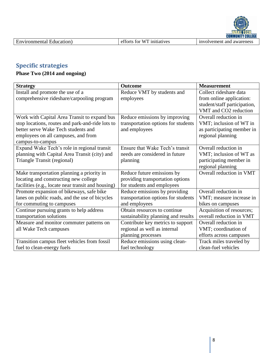# **Specific strategies**

## **Phase Two (2014 and ongoing)**

| <b>Strategy</b>                                    | Outcome                             | <b>Measurement</b>           |
|----------------------------------------------------|-------------------------------------|------------------------------|
| Install and promote the use of a                   | Reduce VMT by students and          | Collect rideshare data       |
| comprehensive rideshare/carpooling program         | employees                           | from online application:     |
|                                                    |                                     | student/staff participation, |
|                                                    |                                     | VMT and CO2 reduction        |
| Work with Capital Area Transit to expand bus       | Reduce emissions by improving       | Overall reduction in         |
| stop locations, routes and park-and-ride lots to   | transportation options for students | VMT; inclusion of WT in      |
| better serve Wake Tech students and                | and employees                       | as participating member in   |
| employees on all campuses, and from                |                                     | regional planning            |
| campus-to-campus                                   |                                     |                              |
| Expand Wake Tech's role in regional transit        | Ensure that Wake Tech's transit     | Overall reduction in         |
| planning with Capital Area Transit (city) and      | needs are considered in future      | VMT; inclusion of WT as      |
| Triangle Transit (regional)                        | planning                            | participating member in      |
|                                                    |                                     | regional planning            |
| Make transportation planning a priority in         | Reduce future emissions by          | Overall reduction in VMT     |
| locating and constructing new college              | providing transportation options    |                              |
| facilities (e.g., locate near transit and housing) | for students and employees          |                              |
| Promote expansion of bikeways, safe bike           | Reduce emissions by providing       | Overall reduction in         |
| lanes on public roads, and the use of bicycles     | transportation options for students | VMT; measure increase in     |
| for commuting to campuses                          | and employees                       | bikes on campuses            |
| Continue pursuing grants to help address           | Obtain resources to continue        | Acquisition of resources;    |
| transportation solutions                           | sustainability planning and results | overall reduction in VMT     |
| Measure and monitor commuter patterns on           | Contribute key metrics to support   | Overall reduction in         |
| all Wake Tech campuses                             | regional as well as internal        | VMT; coordination of         |
|                                                    | planning processes                  | efforts across campuses      |
| Transition campus fleet vehicles from fossil       | Reduce emissions using clean-       | Track miles traveled by      |
| fuel to clean-energy fuels                         | fuel technology                     | clean-fuel vehicles          |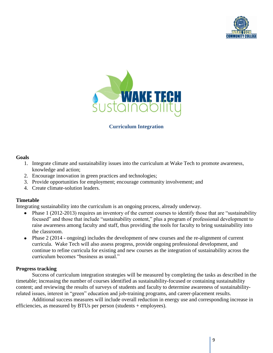



#### **Curriculum Integration**

#### **Goals**

- 1. Integrate climate and sustainability issues into the curriculum at Wake Tech to promote awareness, knowledge and action;
- 2. Encourage innovation in green practices and technologies;
- 3. Provide opportunities for employment; encourage community involvement; and
- 4. Create climate-solution leaders.

#### **Timetable**

Integrating sustainability into the curriculum is an ongoing process, already underway.

- Phase 1 (2012-2013) requires an inventory of the current courses to identify those that are "sustainability  $\bullet$ focused" and those that include "sustainability content," plus a program of professional development to raise awareness among faculty and staff, thus providing the tools for faculty to bring sustainability into the classroom.
- Phase 2 (2014 ongoing) includes the development of new courses and the re-alignment of current curricula. Wake Tech will also assess progress, provide ongoing professional development, and continue to refine curricula for existing and new courses as the integration of sustainability across the curriculum becomes "business as usual."

#### **Progress tracking**

Success of curriculum integration strategies will be measured by completing the tasks as described in the timetable; increasing the number of courses identified as sustainability-focused or containing sustainability content; and reviewing the results of surveys of students and faculty to determine awareness of sustainabilityrelated issues, interest in "green" education and job-training programs, and career-placement results.

Additional success measures will include overall reduction in energy use and corresponding increase in efficiencies, as measured by BTUs per person (students + employees).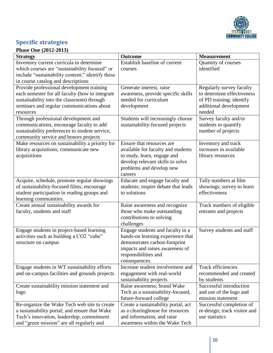

# **Specific strategies**

### **Phase One (2012-2013)**

| <b>Strategy</b>                                                  | Outcome                                                          | <b>Measurement</b>                                 |
|------------------------------------------------------------------|------------------------------------------------------------------|----------------------------------------------------|
| Inventory current curricula to determine                         | Establish baseline of current                                    | Quantity of courses                                |
| which courses are "sustainability focused" or                    | courses                                                          | identified                                         |
| include "sustainability content;" identify these                 |                                                                  |                                                    |
| in course catalog and descriptions                               |                                                                  |                                                    |
| Provide professional development training                        | Generate interest, raise                                         | Regularly survey faculty                           |
| each semester for all faculty (how to integrate                  | awareness, provide specific skills                               | to determine effectiveness                         |
| sustainability into the classroom) through                       | needed for curriculum                                            | of PD training; identify                           |
| seminars and regular communications about<br>resources           | development                                                      | additional development<br>needed                   |
| Through professional development and                             | Students will increasingly choose                                | Survey faculty and/or                              |
| communications, encourage faculty to add                         | sustainability-focused projects                                  | students to quantify                               |
| sustainability preferences to student service,                   |                                                                  | number of projects                                 |
| community service and honors projects                            |                                                                  |                                                    |
| Make resources on sustainability a priority for                  | Ensure that resources are                                        | Inventory and track                                |
| library acquisitions; communicate new                            | available for faculty and students                               | increases in available                             |
| acquisitions                                                     | to study, learn, engage and                                      | library resources                                  |
|                                                                  | develop relevant skills to solve                                 |                                                    |
|                                                                  | problems and develop new                                         |                                                    |
|                                                                  | careers                                                          |                                                    |
| Acquire, schedule, promote regular showings                      | Educate and engage faculty and                                   | Tally numbers at film                              |
| of sustainability-focused films; encourage                       | students; inspire debate that leads                              | showings; survey to learn                          |
| student participation in reading groups and                      | to solutions                                                     | effectiveness                                      |
| learning communities.<br>Create annual sustainability awards for |                                                                  |                                                    |
| faculty, students and staff                                      | Raise awareness and recognize<br>those who make outstanding      | Track numbers of eligible<br>entrants and projects |
|                                                                  | contributions to solving                                         |                                                    |
|                                                                  | challenges                                                       |                                                    |
| Engage students in project-based learning                        | Engage students and faculty in a                                 | Survey students and staff                          |
| activities such as building a CO2 "cube"                         | hands-on learning experience that                                |                                                    |
| structure on campus                                              | demonstrates carbon-footprint                                    |                                                    |
|                                                                  | impacts and raises awareness of                                  |                                                    |
|                                                                  | responsibilities and                                             |                                                    |
|                                                                  | consequences.                                                    |                                                    |
| Engage students in WT sustainability efforts                     | Increase student involvement and                                 | <b>Track efficiencies</b>                          |
| and on-campus facilities and grounds projects                    | engagement with real-world                                       | recommended and created                            |
|                                                                  | sustainability projects                                          | by students                                        |
| Create sustainability mission statement and                      | Raise awareness; brand Wake<br>Tech as a sustainability-focused, | Successful introduction<br>and use of the logo and |
| logo                                                             | future-forward college                                           | mission statement                                  |
| Re-organize the Wake Tech web site to create                     | Create a sustainability portal, act                              | Successful completion of                           |
| a sustainability portal; and ensure that Wake                    | as a clearinghouse for resources                                 | re-design; track visitor and                       |
| Tech's innovation, leadership, commitment                        | and information, and raise                                       | use statistics                                     |
| and "green mission" are all regularly and                        | awareness within the Wake Tech                                   |                                                    |